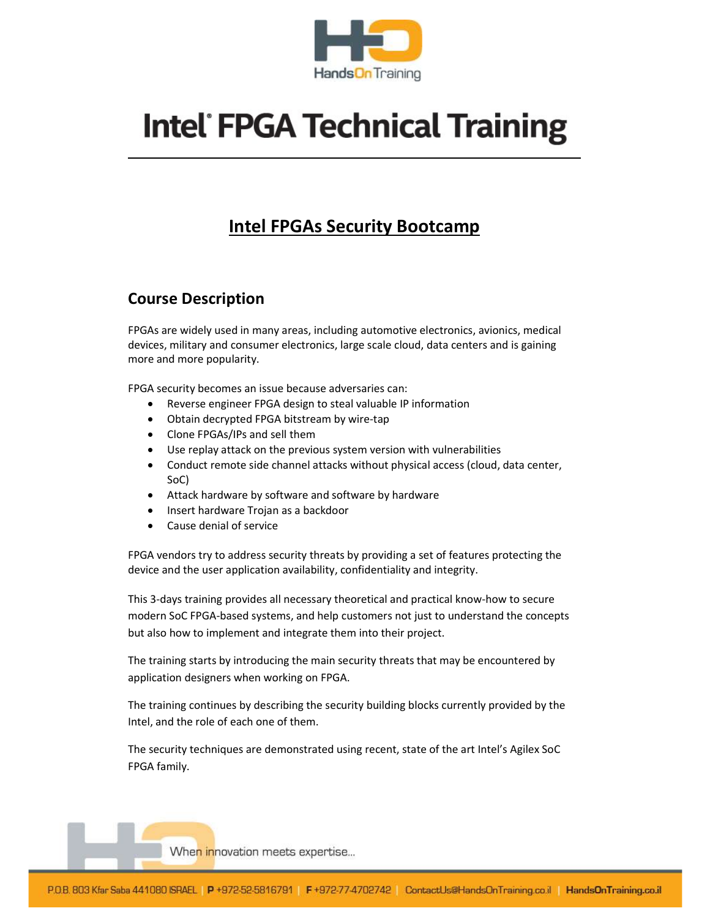

# **Intel FPGA Technical Training**

## Intel FPGAs Security Bootcamp

#### Course Description

FPGAs are widely used in many areas, including automotive electronics, avionics, medical devices, military and consumer electronics, large scale cloud, data centers and is gaining more and more popularity.

FPGA security becomes an issue because adversaries can:

- Reverse engineer FPGA design to steal valuable IP information
- Obtain decrypted FPGA bitstream by wire-tap
- Clone FPGAs/IPs and sell them
- Use replay attack on the previous system version with vulnerabilities
- Conduct remote side channel attacks without physical access (cloud, data center, SoC)
- Attack hardware by software and software by hardware
- Insert hardware Trojan as a backdoor
- Cause denial of service

FPGA vendors try to address security threats by providing a set of features protecting the device and the user application availability, confidentiality and integrity.

This 3-days training provides all necessary theoretical and practical know-how to secure modern SoC FPGA-based systems, and help customers not just to understand the concepts but also how to implement and integrate them into their project.

The training starts by introducing the main security threats that may be encountered by application designers when working on FPGA.

The training continues by describing the security building blocks currently provided by the Intel, and the role of each one of them.

The security techniques are demonstrated using recent, state of the art Intel's Agilex SoC FPGA family.

Whe<mark>n in</mark>novation meets expertise...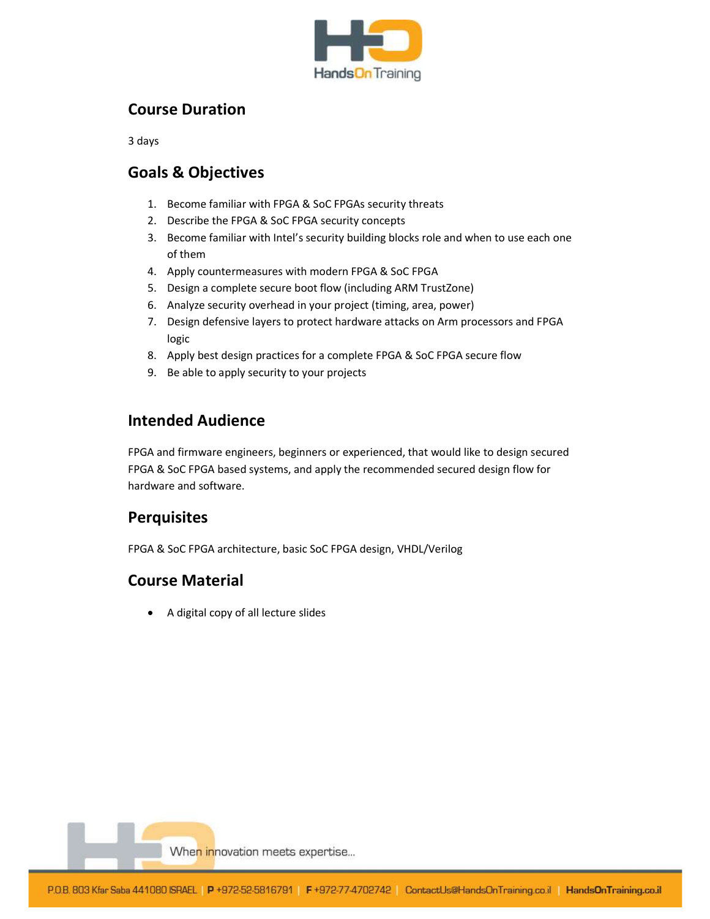

#### Course Duration

3 days

#### Goals & Objectives

- 1. Become familiar with FPGA & SoC FPGAs security threats
- 2. Describe the FPGA & SoC FPGA security concepts
- 3. Become familiar with Intel's security building blocks role and when to use each one of them
- 4. Apply countermeasures with modern FPGA & SoC FPGA
- 5. Design a complete secure boot flow (including ARM TrustZone)
- 6. Analyze security overhead in your project (timing, area, power)
- 7. Design defensive layers to protect hardware attacks on Arm processors and FPGA logic
- 8. Apply best design practices for a complete FPGA & SoC FPGA secure flow
- 9. Be able to apply security to your projects

### Intended Audience

FPGA and firmware engineers, beginners or experienced, that would like to design secured FPGA & SoC FPGA based systems, and apply the recommended secured design flow for hardware and software.

#### **Perquisites**

FPGA & SoC FPGA architecture, basic SoC FPGA design, VHDL/Verilog

#### Course Material

A digital copy of all lecture slides

Whe<mark>n in</mark>novation meets expertise...